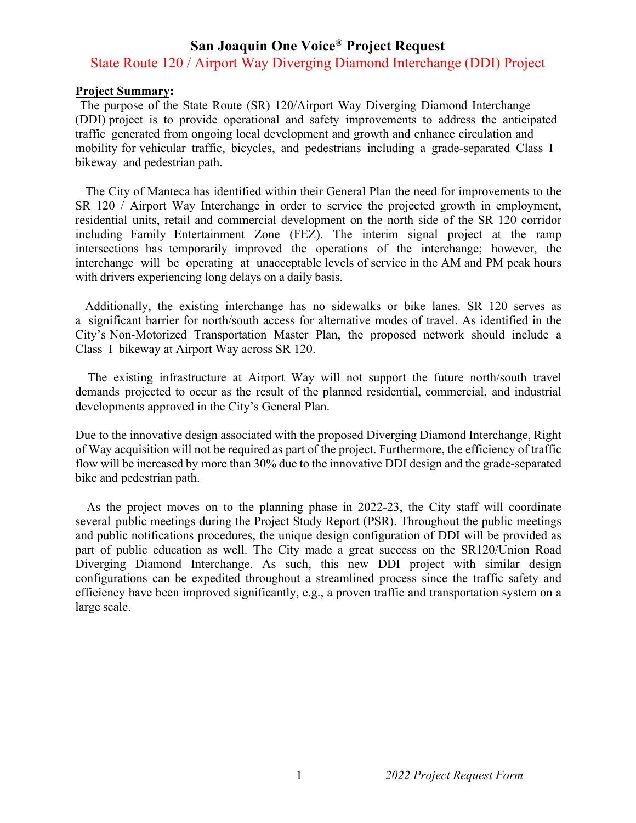## **San Joaquin One Voice® Project Request**

## State Route 120 / Airport Way Diverging Diamond Interchange (DDI) Project

## **Project Summary:**

The purpose of the State Route (SR) 120/Airport Way Diverging Diamond Interchange (DDI) project is to provide operational and safety improvements to address the anticipated traffic generated from ongoing local development and growth and enhance circulation and mobility for vehicular traffic, bicycles, and pedestrians including a grade-separated Class I bikeway and pedestrian path.

The City of Manteca has identified within their General Plan the need for improvements to the SR 120 / Airport Way Interchange in order to service the projected growth in employment, residential units, retail and commercial development on the north side of the SR 120 corridor including Family Entertainment Zone (FEZ). The interim signal project at the ramp intersections has temporarily improved the operations of the interchange; however, the interchange will be operating at unacceptable levels of service in the AM and PM peak hours with drivers experiencing long delays on a daily basis.

Additionally, the existing interchange has no sidewalks or bike lanes. SR 120 serves as a significant barrier for north/south access for alternative modes of travel. As identified in the City's Non-Motorized Transportation Master Plan, the proposed network should include a Class I bikeway at Airport Way across SR 120.

The existing infrastructure at Airport Way will not support the future north/south travel demands projected to occur as the result of the planned residential, commercial, and industrial developments approved in the City's General Plan.

Due to the innovative design associated with the proposed Diverging Diamond Interchange, Right of Way acquisition will not be required as part of the project. Furthermore, the efficiency of traffic flow will be increased by more than 30% due to the innovative DDI design and the grade-separated bike and pedestrian path.

As the project moves on to the planning phase in 2022-23, the City staff will coordinate several public meetings during the Project Study Report (PSR). Throughout the public meetings and public notifications procedures, the unique design configuration of DDI will be provided as part of public education as well. The City made a great success on the SR120/Union Road Diverging Diamond Interchange. As such, this new DDI project with similar design configurations can be expedited throughout a streamlined process since the traffic safety and efficiency have been improved significantly, e.g., a proven traffic and transportation system on a large scale.